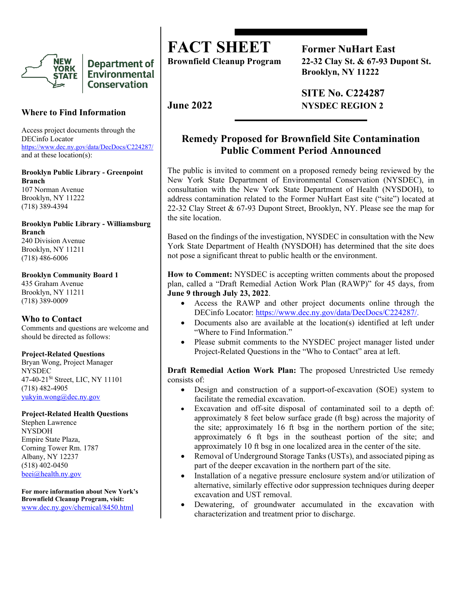

**Department of Environmental Conservation** 

# **Where to Find Information**

Access project documents through the DECinfo Locator <https://www.dec.ny.gov/data/DecDocs/C224287/> and at these location(s):

### **Brooklyn Public Library - Greenpoint Branch**

107 Norman Avenue Brooklyn, NY 11222 (718) 389-4394

### **Brooklyn Public Library - Williamsburg Branch** 240 Division Avenue

Brooklyn, NY 11211 (718) 486-6006

### **Brooklyn Community Board 1**

435 Graham Avenue Brooklyn, NY 11211 (718) 389-0009

## **Who to Contact**

Comments and questions are welcome and should be directed as follows:

## **Project-Related Questions**

Bryan Wong, Project Manager NYSDEC 47-40-21<sup>St</sup> Street, LIC, NY 11101 (718) 482-4905 [yukyin.wong@dec.ny.gov](mailto:yukyin.wong@dec.ny.gov)

### **Project-Related Health Questions**

Stephen Lawrence NYSDOH Empire State Plaza, Corning Tower Rm. 1787 Albany, NY 12237 (518) 402-0450 [beei@health.ny.gov](mailto:beei@health.ny.gov)

**For more information about New York's Brownfield Cleanup Program, visit:** [www.dec.ny.gov/chemical/8450.html](https://www.dec.ny.gov/chemical/8450.html)

**FACT SHEET** Former NuHart East<br>Brownfield Cleanup Program 22-32 Clay St. & 67-93 D **Brownfield Cleanup Program 22-32 Clay St. & 67-93 Dupont St. Brooklyn, NY 11222** 

 **SITE No. C224287 June 2022** NYSDEC REGION 2

# **Remedy Proposed for Brownfield Site Contamination Public Comment Period Announced**

The public is invited to comment on a proposed remedy being reviewed by the New York State Department of Environmental Conservation (NYSDEC), in consultation with the New York State Department of Health (NYSDOH), to address contamination related to the Former NuHart East site ("site") located at 22-32 Clay Street & 67-93 Dupont Street, Brooklyn, NY. Please see the map for the site location.

Based on the findings of the investigation, NYSDEC in consultation with the New York State Department of Health (NYSDOH) has determined that the site does not pose a significant threat to public health or the environment.

**How to Comment:** NYSDEC is accepting written comments about the proposed plan, called a "Draft Remedial Action Work Plan (RAWP)" for 45 days, from **June 9 through July 23, 2022**.

- Access the RAWP and other project documents online through the DECinfo Locator: [https://www.dec.ny.gov/data/DecDocs/C224287/.](https://www.dec.ny.gov/data/DecDocs/C224287/)
- Documents also are available at the location(s) identified at left under "Where to Find Information."
- Please submit comments to the NYSDEC project manager listed under Project-Related Questions in the "Who to Contact" area at left.

**Draft Remedial Action Work Plan:** The proposed Unrestricted Use remedy consists of:

- Design and construction of a support-of-excavation (SOE) system to facilitate the remedial excavation.
- Excavation and off-site disposal of contaminated soil to a depth of: approximately 8 feet below surface grade (ft bsg) across the majority of the site; approximately 16 ft bsg in the northern portion of the site; approximately 6 ft bgs in the southeast portion of the site; and approximately 10 ft bsg in one localized area in the center of the site.
- Removal of Underground Storage Tanks (USTs), and associated piping as part of the deeper excavation in the northern part of the site.
- Installation of a negative pressure enclosure system and/or utilization of alternative, similarly effective odor suppression techniques during deeper excavation and UST removal.
- Dewatering, of groundwater accumulated in the excavation with characterization and treatment prior to discharge.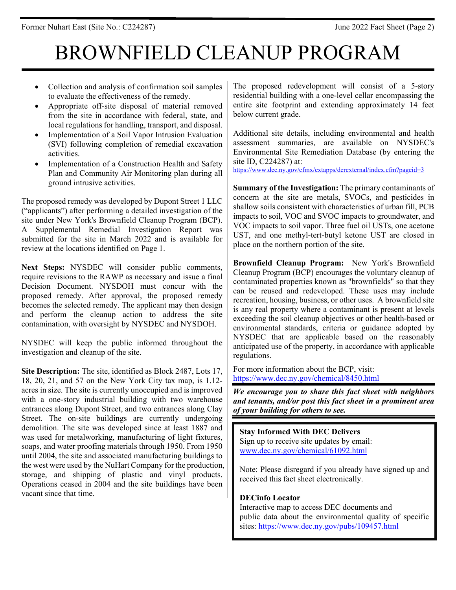# BROWNFIELD CLEANUP PROGRAM

- Collection and analysis of confirmation soil samples to evaluate the effectiveness of the remedy.
- Appropriate off-site disposal of material removed from the site in accordance with federal, state, and local regulations for handling, transport, and disposal.
- Implementation of a Soil Vapor Intrusion Evaluation (SVI) following completion of remedial excavation activities.
- Implementation of a Construction Health and Safety Plan and Community Air Monitoring plan during all ground intrusive activities.

The proposed remedy was developed by Dupont Street 1 LLC ("applicants") after performing a detailed investigation of the site under New York's Brownfield Cleanup Program (BCP). A Supplemental Remedial Investigation Report was submitted for the site in March 2022 and is available for review at the locations identified on Page 1.

**Next Steps:** NYSDEC will consider public comments, require revisions to the RAWP as necessary and issue a final Decision Document. NYSDOH must concur with the proposed remedy. After approval, the proposed remedy becomes the selected remedy. The applicant may then design and perform the cleanup action to address the site contamination, with oversight by NYSDEC and NYSDOH.

NYSDEC will keep the public informed throughout the investigation and cleanup of the site.

**Site Description:** The site, identified as Block 2487, Lots 17, 18, 20, 21, and 57 on the New York City tax map, is 1.12 acres in size. The site is currently unoccupied and is improved with a one-story industrial building with two warehouse entrances along Dupont Street, and two entrances along Clay Street. The on-site buildings are currently undergoing demolition. The site was developed since at least 1887 and was used for metalworking, manufacturing of light fixtures, soaps, and water proofing materials through 1950. From 1950 until 2004, the site and associated manufacturing buildings to the west were used by the NuHart Company for the production, storage, and shipping of plastic and vinyl products. Operations ceased in 2004 and the site buildings have been vacant since that time.

The proposed redevelopment will consist of a 5-story residential building with a one-level cellar encompassing the entire site footprint and extending approximately 14 feet below current grade.

Additional site details, including environmental and health assessment summaries, are available on NYSDEC's Environmental Site Remediation Database (by entering the site ID, C224287) at: <https://www.dec.ny.gov/cfmx/extapps/derexternal/index.cfm?pageid=3>

**Summary of the Investigation:** The primary contaminants of concern at the site are metals, SVOCs, and pesticides in shallow soils consistent with characteristics of urban fill, PCB impacts to soil, VOC and SVOC impacts to groundwater, and VOC impacts to soil vapor. Three fuel oil USTs, one acetone UST, and one methyl-tert-butyl ketone UST are closed in place on the northern portion of the site.

**Brownfield Cleanup Program:** New York's Brownfield Cleanup Program (BCP) encourages the voluntary cleanup of contaminated properties known as "brownfields" so that they can be reused and redeveloped. These uses may include recreation, housing, business, or other uses. A brownfield site is any real property where a contaminant is present at levels exceeding the soil cleanup objectives or other health-based or environmental standards, criteria or guidance adopted by NYSDEC that are applicable based on the reasonably anticipated use of the property, in accordance with applicable regulations.

For more information about the BCP, visit: <https://www.dec.ny.gov/chemical/8450.html>

*We encourage you to share this fact sheet with neighbors and tenants, and/or post this fact sheet in a prominent area of your building for others to see.*

**Stay Informed With DEC Delivers** Sign up to receive site updates by email: [www.dec.ny.gov/chemical/61092.html](https://www.dec.ny.gov/chemical/61092.html)

Note: Please disregard if you already have signed up and received this fact sheet electronically.

# **DECinfo Locator**

Interactive map to access DEC documents and public data about the environmental quality of specific sites:<https://www.dec.ny.gov/pubs/109457.html>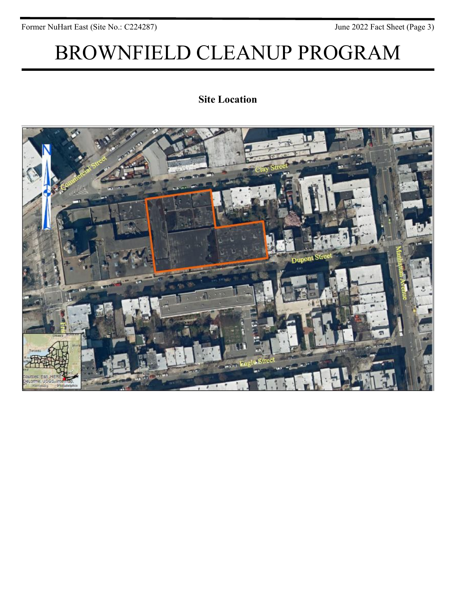Former NuHart East (Site No.: C224287) June 2022 Fact Sheet (Page 3)

# BROWNFIELD CLEANUP PROGRAM

# **Site Location**